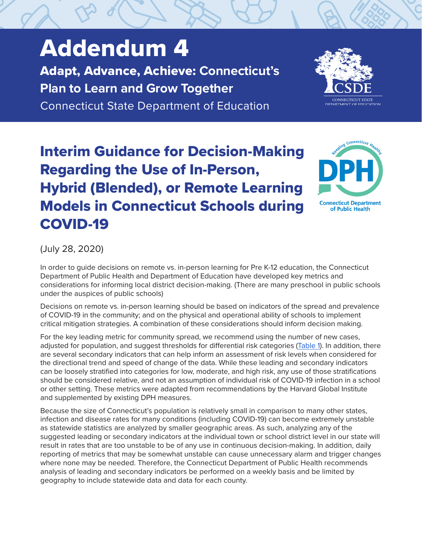## Addendum 4

Adapt, Advance, Achieve: **Connecticut's Plan to Learn and Grow Together** Connecticut State Department of Education



## Interim Guidance for Decision-Making Regarding the Use of In-Person, Hybrid (Blended), or Remote Learning Models in Connecticut Schools during COVID-19



(July 28, 2020)

In order to guide decisions on remote vs. in-person learning for Pre K-12 education, the Connecticut Department of Public Health and Department of Education have developed key metrics and considerations for informing local district decision-making. (There are many preschool in public schools under the auspices of public schools)

Decisions on remote vs. in-person learning should be based on indicators of the spread and prevalence of COVID-19 in the community; and on the physical and operational ability of schools to implement critical mitigation strategies. A combination of these considerations should inform decision making.

For the key leading metric for community spread, we recommend using the number of new cases, adjusted for population, and suggest thresholds for differential risk categories [\(Table 1](#page-1-0)). In addition, there are several secondary indicators that can help inform an assessment of risk levels when considered for the directional trend and speed of change of the data. While these leading and secondary indicators can be loosely stratified into categories for low, moderate, and high risk, any use of those stratifications should be considered relative, and not an assumption of individual risk of COVID-19 infection in a school or other setting. These metrics were adapted from recommendations by the Harvard Global Institute and supplemented by existing DPH measures.

Because the size of Connecticut's population is relatively small in comparison to many other states, infection and disease rates for many conditions (including COVID-19) can become extremely unstable as statewide statistics are analyzed by smaller geographic areas. As such, analyzing any of the suggested leading or secondary indicators at the individual town or school district level in our state will result in rates that are too unstable to be of any use in continuous decision-making. In addition, daily reporting of metrics that may be somewhat unstable can cause unnecessary alarm and trigger changes where none may be needed. Therefore, the Connecticut Department of Public Health recommends analysis of leading and secondary indicators be performed on a weekly basis and be limited by geography to include statewide data and data for each county.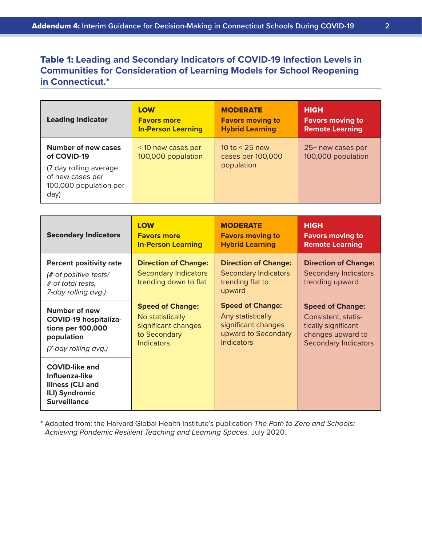<span id="page-1-0"></span>Table 1: **Leading and Secondary Indicators of COVID-19 Infection Levels in Communities for Consideration of Learning Models for School Reopening in Connecticut.\***

| <b>Leading Indicator</b>                                                     | <b>LOW</b>                | <b>MODERATE</b>         | <b>HIGH</b>             |
|------------------------------------------------------------------------------|---------------------------|-------------------------|-------------------------|
|                                                                              | <b>Favors more</b>        | <b>Favors moving to</b> | <b>Favors moving to</b> |
|                                                                              | <b>In-Person Learning</b> | <b>Hybrid Learning</b>  | <b>Remote Learning</b>  |
| <b>Number of new cases</b>                                                   | <10 new cases per         | 10 to $<$ 25 new        | 25+ new cases per       |
| of COVID-19                                                                  | 100,000 population        | cases per 100,000       | 100,000 population      |
| (7 day rolling average<br>of new cases per<br>100,000 population per<br>day) |                           | population              |                         |

| <b>Secondary Indicators</b>                                                                                        | <b>LOW</b>                                                                          | <b>MODERATE</b>                                                                          | <b>HIGH</b>                                                                   |
|--------------------------------------------------------------------------------------------------------------------|-------------------------------------------------------------------------------------|------------------------------------------------------------------------------------------|-------------------------------------------------------------------------------|
|                                                                                                                    | <b>Favors more</b>                                                                  | <b>Favors moving to</b>                                                                  | <b>Favors moving to</b>                                                       |
|                                                                                                                    | <b>In-Person Learning</b>                                                           | <b>Hybrid Learning</b>                                                                   | <b>Remote Learning</b>                                                        |
| <b>Percent positivity rate</b><br>(# of positive tests/<br># of total tests,<br>7-day rolling avg.)                | <b>Direction of Change:</b><br><b>Secondary Indicators</b><br>trending down to flat | <b>Direction of Change:</b><br><b>Secondary Indicators</b><br>trending flat to<br>upward | <b>Direction of Change:</b><br><b>Secondary Indicators</b><br>trending upward |
| Number of new                                                                                                      | <b>Speed of Change:</b>                                                             | <b>Speed of Change:</b>                                                                  | <b>Speed of Change:</b>                                                       |
| <b>COVID-19 hospitaliza-</b>                                                                                       | No statistically                                                                    | Any statistically                                                                        | Consistent, statis-                                                           |
| tions per 100,000                                                                                                  | significant changes                                                                 | significant changes                                                                      | tically significant                                                           |
| population                                                                                                         | to Secondary                                                                        | upward to Secondary                                                                      | changes upward to                                                             |
| (7-day rolling avg.)                                                                                               | <b>Indicators</b>                                                                   | <b>Indicators</b>                                                                        | <b>Secondary Indicators</b>                                                   |
| <b>COVID-like and</b><br>Influenza-like<br><b>Illness (CLI and</b><br><b>ILI) Syndromic</b><br><b>Surveillance</b> |                                                                                     |                                                                                          |                                                                               |

\* Adapted from: the Harvard Global Health Institute's publication *The Path to Zero and Schools: Achieving Pandemic Resilient Teaching and Learning Spaces.* July 2020.